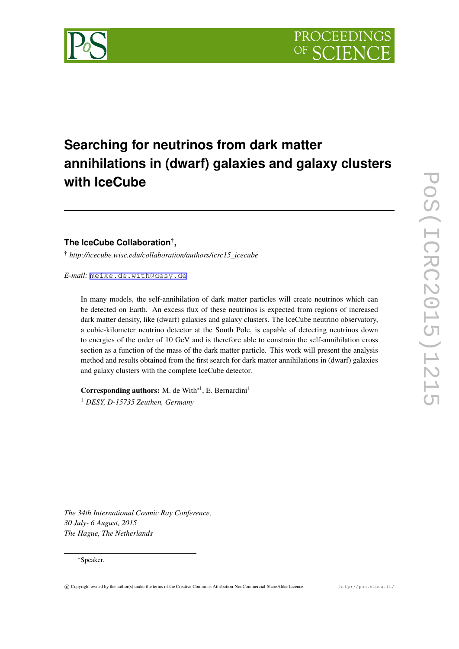

# **Searching for neutrinos from dark matter annihilations in (dwarf) galaxies and galaxy clusters with IceCube**

## **The IceCube Collaboration**† **,**

† *http://icecube.wisc.edu/collaboration/authors/icrc15\_icecube*

*E-mail:* [meike.de.with@desy.de](mailto:meike.de.with@desy.de)

In many models, the self-annihilation of dark matter particles will create neutrinos which can be detected on Earth. An excess flux of these neutrinos is expected from regions of increased dark matter density, like (dwarf) galaxies and galaxy clusters. The IceCube neutrino observatory, a cubic-kilometer neutrino detector at the South Pole, is capable of detecting neutrinos down to energies of the order of 10 GeV and is therefore able to constrain the self-annihilation cross section as a function of the mass of the dark matter particle. This work will present the analysis method and results obtained from the first search for dark matter annihilations in (dwarf) galaxies and galaxy clusters with the complete IceCube detector.

Corresponding authors: M. de With<sup>∗1</sup>, E. Bernardini<sup>1</sup> <sup>1</sup> *DESY, D-15735 Zeuthen, Germany*

*The 34th International Cosmic Ray Conference, 30 July- 6 August, 2015 The Hague, The Netherlands*

#### *∗*Speaker.

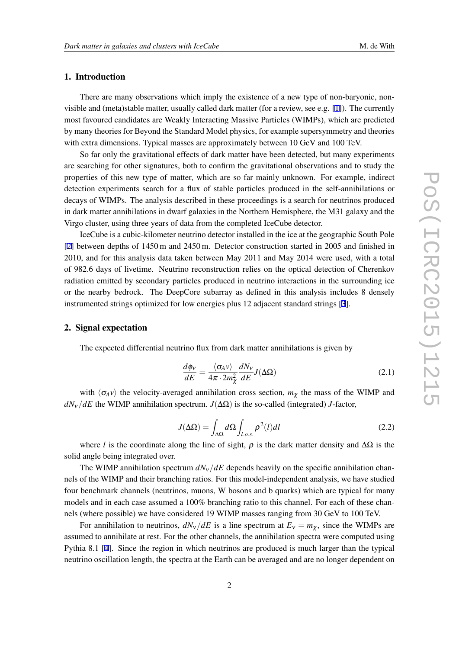### <span id="page-1-0"></span>1. Introduction

There are many observations which imply the existence of a new type of non-baryonic, nonvisible and (meta)stable matter, usually called dark matter (for a review, see e.g. [[1\]](#page-6-0)). The currently most favoured candidates are Weakly Interacting Massive Particles (WIMPs), which are predicted by many theories for Beyond the Standard Model physics, for example supersymmetry and theories with extra dimensions. Typical masses are approximately between 10 GeV and 100 TeV.

So far only the gravitational effects of dark matter have been detected, but many experiments are searching for other signatures, both to confirm the gravitational observations and to study the properties of this new type of matter, which are so far mainly unknown. For example, indirect detection experiments search for a flux of stable particles produced in the self-annihilations or decays of WIMPs. The analysis described in these proceedings is a search for neutrinos produced in dark matter annihilations in dwarf galaxies in the Northern Hemisphere, the M31 galaxy and the Virgo cluster, using three years of data from the completed IceCube detector.

IceCube is a cubic-kilometer neutrino detector installed in the ice at the geographic South Pole [[2](#page-6-0)] between depths of 1450 m and 2450 m. Detector construction started in 2005 and finished in 2010, and for this analysis data taken between May 2011 and May 2014 were used, with a total of 982.6 days of livetime. Neutrino reconstruction relies on the optical detection of Cherenkov radiation emitted by secondary particles produced in neutrino interactions in the surrounding ice or the nearby bedrock. The DeepCore subarray as defined in this analysis includes 8 densely instrumented strings optimized for low energies plus 12 adjacent standard strings [\[3\]](#page-6-0).

#### 2. Signal expectation

The expected differential neutrino flux from dark matter annihilations is given by

$$
\frac{d\phi_V}{dE} = \frac{\langle \sigma_A v \rangle}{4\pi \cdot 2m_\chi^2} \frac{dN_V}{dE} J(\Delta\Omega)
$$
\n(2.1)

with  $\langle \sigma_A v \rangle$  the velocity-averaged annihilation cross section,  $m_\gamma$  the mass of the WIMP and *dN*ν*/dE* the WIMP annihilation spectrum. *J*(∆Ω) is the so-called (integrated) *J*-factor,

$$
J(\Delta\Omega) = \int_{\Delta\Omega} d\Omega \int_{l.o.s.} \rho^2(l) dl
$$
 (2.2)

where *l* is the coordinate along the line of sight,  $\rho$  is the dark matter density and  $\Delta\Omega$  is the solid angle being integrated over.

The WIMP annihilation spectrum  $dN_v/dE$  depends heavily on the specific annihilation channels of the WIMP and their branching ratios. For this model-independent analysis, we have studied four benchmark channels (neutrinos, muons, W bosons and b quarks) which are typical for many models and in each case assumed a 100% branching ratio to this channel. For each of these channels (where possible) we have considered 19 WIMP masses ranging from 30 GeV to 100 TeV.

For annihilation to neutrinos,  $dN_v/dE$  is a line spectrum at  $E_v = m_\chi$ , since the WIMPs are assumed to annihilate at rest. For the other channels, the annihilation spectra were computed using Pythia 8.1 [\[4\]](#page-6-0). Since the region in which neutrinos are produced is much larger than the typical neutrino oscillation length, the spectra at the Earth can be averaged and are no longer dependent on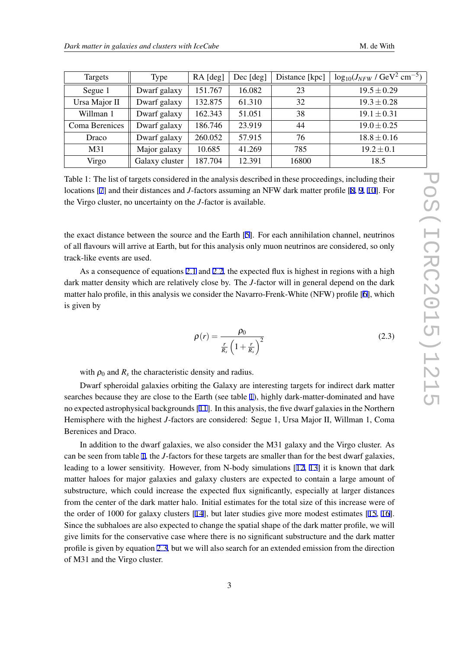| Targets        | Type           | RA [deg] | Dec [deg] | Distance [kpc] | $\log_{10}(J_{NFW}/\text{GeV}^2 \text{ cm}^{-5})$ |
|----------------|----------------|----------|-----------|----------------|---------------------------------------------------|
| Segue 1        | Dwarf galaxy   | 151.767  | 16.082    | 23             | $19.5 \pm 0.29$                                   |
| Ursa Major II  | Dwarf galaxy   | 132.875  | 61.310    | 32             | $19.3 \pm 0.28$                                   |
| Willman 1      | Dwarf galaxy   | 162.343  | 51.051    | 38             | $19.1 \pm 0.31$                                   |
| Coma Berenices | Dwarf galaxy   | 186.746  | 23.919    | 44             | $19.0 \pm 0.25$                                   |
| Draco          | Dwarf galaxy   | 260.052  | 57.915    | 76             | $18.8 \pm 0.16$                                   |
| M31            | Major galaxy   | 10.685   | 41.269    | 785            | $19.2 \pm 0.1$                                    |
| Virgo          | Galaxy cluster | 187.704  | 12.391    | 16800          | 18.5                                              |

Table 1: The list of targets considered in the analysis described in these proceedings, including their locations [[7](#page-6-0)] and their distances and *J*-factors assuming an NFW dark matter profile [[8](#page-7-0), [9,](#page-7-0) [10](#page-7-0)]. For the Virgo cluster, no uncertainty on the *J*-factor is available.

the exact distance between the source and the Earth [\[5\]](#page-6-0). For each annihilation channel, neutrinos of all flavours will arrive at Earth, but for this analysis only muon neutrinos are considered, so only track-like events are used.

As a consequence of equations [2.1](#page-1-0) and [2.2,](#page-1-0) the expected flux is highest in regions with a high dark matter density which are relatively close by. The *J*-factor will in general depend on the dark matter halo profile, in this analysis we consider the Navarro-Frenk-White (NFW) profile [[6](#page-6-0)], which is given by

$$
\rho(r) = \frac{\rho_0}{\frac{r}{R_s} \left(1 + \frac{r}{R_s}\right)^2} \tag{2.3}
$$

with  $\rho_0$  and  $R_s$  the characteristic density and radius.

Dwarf spheroidal galaxies orbiting the Galaxy are interesting targets for indirect dark matter searches because they are close to the Earth (see table 1), highly dark-matter-dominated and have no expected astrophysical backgrounds [\[11](#page-7-0)]. In this analysis, the five dwarf galaxies in the Northern Hemisphere with the highest *J*-factors are considered: Segue 1, Ursa Major II, Willman 1, Coma Berenices and Draco.

In addition to the dwarf galaxies, we also consider the M31 galaxy and the Virgo cluster. As can be seen from table 1, the *J*-factors for these targets are smaller than for the best dwarf galaxies, leading to a lower sensitivity. However, from N-body simulations [\[12](#page-7-0), [13](#page-7-0)] it is known that dark matter haloes for major galaxies and galaxy clusters are expected to contain a large amount of substructure, which could increase the expected flux significantly, especially at larger distances from the center of the dark matter halo. Initial estimates for the total size of this increase were of the order of 1000 for galaxy clusters [\[14\]](#page-7-0), but later studies give more modest estimates [[15,](#page-7-0) [16\]](#page-7-0). Since the subhaloes are also expected to change the spatial shape of the dark matter profile, we will give limits for the conservative case where there is no significant substructure and the dark matter profile is given by equation 2.3, but we will also search for an extended emission from the direction of M31 and the Virgo cluster.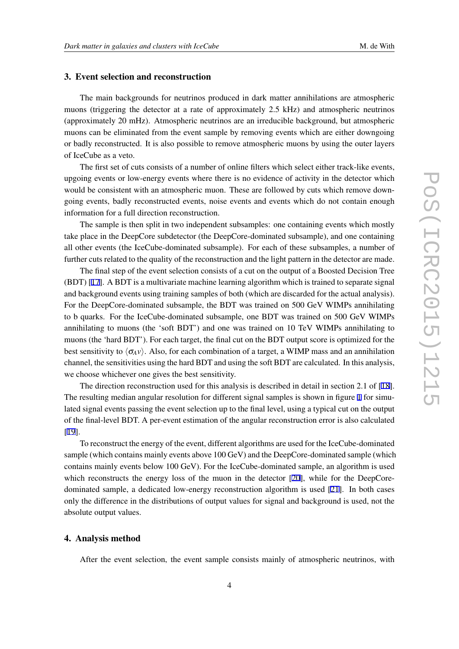3. Event selection and reconstruction

The main backgrounds for neutrinos produced in dark matter annihilations are atmospheric muons (triggering the detector at a rate of approximately 2.5 kHz) and atmospheric neutrinos (approximately 20 mHz). Atmospheric neutrinos are an irreducible background, but atmospheric muons can be eliminated from the event sample by removing events which are either downgoing or badly reconstructed. It is also possible to remove atmospheric muons by using the outer layers of IceCube as a veto.

The first set of cuts consists of a number of online filters which select either track-like events, upgoing events or low-energy events where there is no evidence of activity in the detector which would be consistent with an atmospheric muon. These are followed by cuts which remove downgoing events, badly reconstructed events, noise events and events which do not contain enough information for a full direction reconstruction.

The sample is then split in two independent subsamples: one containing events which mostly take place in the DeepCore subdetector (the DeepCore-dominated subsample), and one containing all other events (the IceCube-dominated subsample). For each of these subsamples, a number of further cuts related to the quality of the reconstruction and the light pattern in the detector are made.

The final step of the event selection consists of a cut on the output of a Boosted Decision Tree (BDT) [\[17](#page-7-0)]. A BDT is a multivariate machine learning algorithm which is trained to separate signal and background events using training samples of both (which are discarded for the actual analysis). For the DeepCore-dominated subsample, the BDT was trained on 500 GeV WIMPs annihilating to b quarks. For the IceCube-dominated subsample, one BDT was trained on 500 GeV WIMPs annihilating to muons (the 'soft BDT') and one was trained on 10 TeV WIMPs annihilating to muons (the 'hard BDT'). For each target, the final cut on the BDT output score is optimized for the best sensitivity to  $\langle \sigma_A v \rangle$ . Also, for each combination of a target, a WIMP mass and an annihilation channel, the sensitivities using the hard BDT and using the soft BDT are calculated. In this analysis, we choose whichever one gives the best sensitivity.

The direction reconstruction used for this analysis is described in detail in section 2.1 of [[18\]](#page-7-0). The resulting median angular resolution for different signal samples is shown in figure [1](#page-4-0) for simulated signal events passing the event selection up to the final level, using a typical cut on the output of the final-level BDT. A per-event estimation of the angular reconstruction error is also calculated [[19\]](#page-7-0).

To reconstruct the energy of the event, different algorithms are used for the IceCube-dominated sample (which contains mainly events above 100 GeV) and the DeepCore-dominated sample (which contains mainly events below 100 GeV). For the IceCube-dominated sample, an algorithm is used which reconstructs the energy loss of the muon in the detector [[20](#page-7-0)], while for the DeepCoredominated sample, a dedicated low-energy reconstruction algorithm is used [\[21\]](#page-7-0). In both cases only the difference in the distributions of output values for signal and background is used, not the absolute output values.

#### 4. Analysis method

After the event selection, the event sample consists mainly of atmospheric neutrinos, with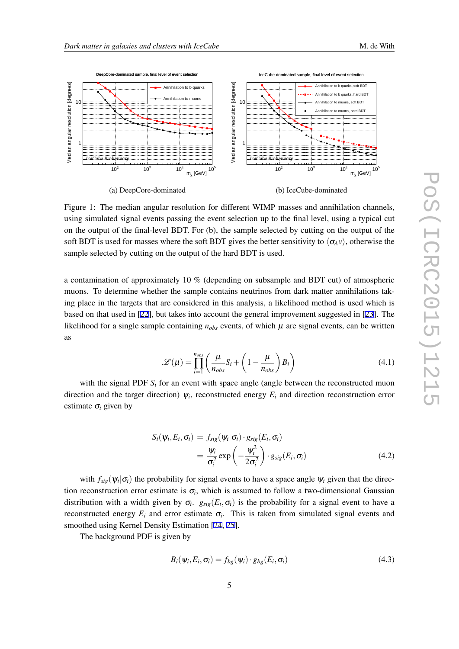<span id="page-4-0"></span>

Figure 1: The median angular resolution for different WIMP masses and annihilation channels, using simulated signal events passing the event selection up to the final level, using a typical cut on the output of the final-level BDT. For (b), the sample selected by cutting on the output of the soft BDT is used for masses where the soft BDT gives the better sensitivity to  $\langle \sigma_A v \rangle$ , otherwise the sample selected by cutting on the output of the hard BDT is used.

a contamination of approximately 10 % (depending on subsample and BDT cut) of atmospheric muons. To determine whether the sample contains neutrinos from dark matter annihilations taking place in the targets that are considered in this analysis, a likelihood method is used which is based on that used in [\[22\]](#page-7-0), but takes into account the general improvement suggested in [[23\]](#page-7-0). The likelihood for a single sample containing  $n_{obs}$  events, of which  $\mu$  are signal events, can be written as

$$
\mathcal{L}(\mu) = \prod_{i=1}^{n_{obs}} \left( \frac{\mu}{n_{obs}} S_i + \left( 1 - \frac{\mu}{n_{obs}} \right) B_i \right)
$$
(4.1)

with the signal PDF  $S_i$  for an event with space angle (angle between the reconstructed muon direction and the target direction)  $\psi_i$ , reconstructed energy  $E_i$  and direction reconstruction error estimate  $\sigma_i$  given by

$$
S_i(\psi_i, E_i, \sigma_i) = f_{sig}(\psi_i | \sigma_i) \cdot g_{sig}(E_i, \sigma_i)
$$
  
= 
$$
\frac{\psi_i}{\sigma_i^2} \exp\left(-\frac{\psi_i^2}{2\sigma_i^2}\right) \cdot g_{sig}(E_i, \sigma_i)
$$
 (4.2)

with  $f_{sig}(\psi_i|\sigma_i)$  the probability for signal events to have a space angle  $\psi_i$  given that the direction reconstruction error estimate is  $\sigma_i$ , which is assumed to follow a two-dimensional Gaussian distribution with a width given by  $\sigma_i$ .  $g_{sig}(E_i, \sigma_i)$  is the probability for a signal event to have a reconstructed energy  $E_i$  and error estimate  $\sigma_i$ . This is taken from simulated signal events and smoothed using Kernel Density Estimation [\[24](#page-7-0), [25\]](#page-7-0).

The background PDF is given by

$$
B_i(\psi_i, E_i, \sigma_i) = f_{bg}(\psi_i) \cdot g_{bg}(E_i, \sigma_i)
$$
\n(4.3)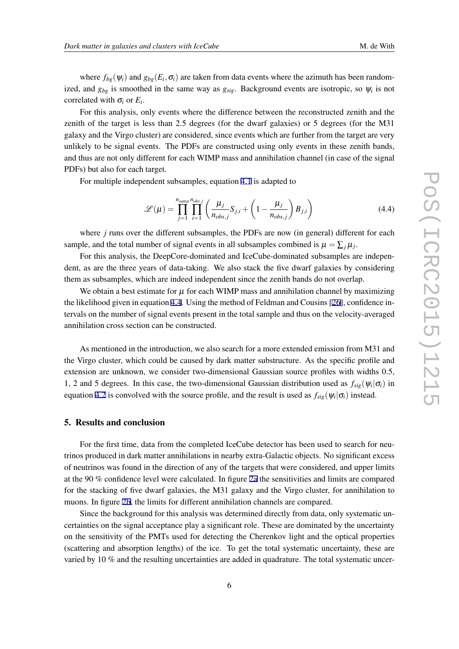where  $f_{bg}(\psi_i)$  and  $g_{bg}(E_i, \sigma_i)$  are taken from data events where the azimuth has been randomized, and  $g_{bg}$  is smoothed in the same way as  $g_{sig}$ . Background events are isotropic, so  $\psi_i$  is not correlated with  $\sigma_i$  or  $E_i$ .

For this analysis, only events where the difference between the reconstructed zenith and the zenith of the target is less than 2.5 degrees (for the dwarf galaxies) or 5 degrees (for the M31 galaxy and the Virgo cluster) are considered, since events which are further from the target are very unlikely to be signal events. The PDFs are constructed using only events in these zenith bands, and thus are not only different for each WIMP mass and annihilation channel (in case of the signal PDFs) but also for each target.

For multiple independent subsamples, equation [4.1](#page-4-0) is adapted to

$$
\mathcal{L}(\mu) = \prod_{j=1}^{n_{\text{sampling}}}\prod_{i=1}^{n_{\text{obs},j}} \left(\frac{\mu_j}{n_{\text{obs},j}} S_{j,i} + \left(1 - \frac{\mu_j}{n_{\text{obs},j}}\right) B_{j,i}\right)
$$
(4.4)

where *j* runs over the different subsamples, the PDFs are now (in general) different for each sample, and the total number of signal events in all subsamples combined is  $\mu = \sum_j \mu_j$ .

For this analysis, the DeepCore-dominated and IceCube-dominated subsamples are independent, as are the three years of data-taking. We also stack the five dwarf galaxies by considering them as subsamples, which are indeed independent since the zenith bands do not overlap.

We obtain a best estimate for  $\mu$  for each WIMP mass and annihilation channel by maximizing the likelihood given in equation 4.4. Using the method of Feldman and Cousins [[26\]](#page-7-0), confidence intervals on the number of signal events present in the total sample and thus on the velocity-averaged annihilation cross section can be constructed.

As mentioned in the introduction, we also search for a more extended emission from M31 and the Virgo cluster, which could be caused by dark matter substructure. As the specific profile and extension are unknown, we consider two-dimensional Gaussian source profiles with widths 0.5, 1, 2 and 5 degrees. In this case, the two-dimensional Gaussian distribution used as  $f_{sig}(\psi_i|\sigma_i)$  in equation [4.2](#page-4-0) is convolved with the source profile, and the result is used as  $f_{sig}(\psi_i|\sigma_i)$  instead.

#### 5. Results and conclusion

For the first time, data from the completed IceCube detector has been used to search for neutrinos produced in dark matter annihilations in nearby extra-Galactic objects. No significant excess of neutrinos was found in the direction of any of the targets that were considered, and upper limits at the 90 % confidence level were calculated. In figure [2a](#page-6-0) the sensitivities and limits are compared for the stacking of five dwarf galaxies, the M31 galaxy and the Virgo cluster, for annihilation to muons. In figure [2b](#page-6-0), the limits for different annihilation channels are compared.

Since the background for this analysis was determined directly from data, only systematic uncertainties on the signal acceptance play a significant role. These are dominated by the uncertainty on the sensitivity of the PMTs used for detecting the Cherenkov light and the optical properties (scattering and absorption lengths) of the ice. To get the total systematic uncertainty, these are varied by 10 % and the resulting uncertainties are added in quadrature. The total systematic uncer-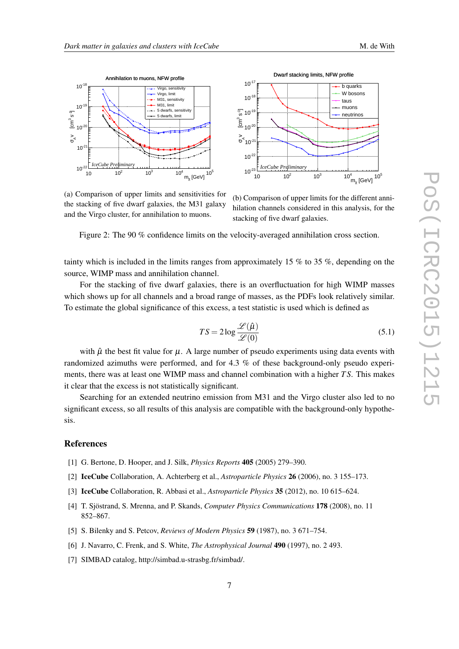<span id="page-6-0"></span>



Dwarf stacking limits, NFW profile

(a) Comparison of upper limits and sensitivities for the stacking of five dwarf galaxies, the M31 galaxy and the Virgo cluster, for annihilation to muons.

(b) Comparison of upper limits for the different annihilation channels considered in this analysis, for the stacking of five dwarf galaxies.

Figure 2: The 90 % confidence limits on the velocity-averaged annihilation cross section.

tainty which is included in the limits ranges from approximately 15 % to 35 %, depending on the source, WIMP mass and annihilation channel.

For the stacking of five dwarf galaxies, there is an overfluctuation for high WIMP masses which shows up for all channels and a broad range of masses, as the PDFs look relatively similar. To estimate the global significance of this excess, a test statistic is used which is defined as

$$
TS = 2\log \frac{\mathcal{L}(\hat{\mu})}{\mathcal{L}(0)}
$$
\n(5.1)

with  $\hat{\mu}$  the best fit value for  $\mu$ . A large number of pseudo experiments using data events with randomized azimuths were performed, and for 4.3 % of these background-only pseudo experiments, there was at least one WIMP mass and channel combination with a higher *T S*. This makes it clear that the excess is not statistically significant.

Searching for an extended neutrino emission from M31 and the Virgo cluster also led to no significant excess, so all results of this analysis are compatible with the background-only hypothesis.

#### References

- [1] G. Bertone, D. Hooper, and J. Silk, *Physics Reports* 405 (2005) 279–390.
- [2] IceCube Collaboration, A. Achterberg et al., *Astroparticle Physics* 26 (2006), no. 3 155–173.
- [3] IceCube Collaboration, R. Abbasi et al., *Astroparticle Physics* 35 (2012), no. 10 615–624.
- [4] T. Sjöstrand, S. Mrenna, and P. Skands, *Computer Physics Communications* 178 (2008), no. 11 852–867.
- [5] S. Bilenky and S. Petcov, *Reviews of Modern Physics* 59 (1987), no. 3 671–754.
- [6] J. Navarro, C. Frenk, and S. White, *The Astrophysical Journal* 490 (1997), no. 2 493.
- [7] SIMBAD catalog, http://simbad.u-strasbg.fr/simbad/.